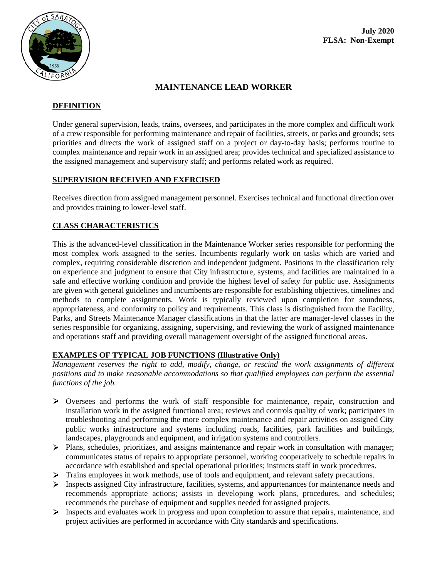

# **MAINTENANCE LEAD WORKER**

### **DEFINITION**

Under general supervision, leads, trains, oversees, and participates in the more complex and difficult work of a crew responsible for performing maintenance and repair of facilities, streets, or parks and grounds; sets priorities and directs the work of assigned staff on a project or day-to-day basis; performs routine to complex maintenance and repair work in an assigned area; provides technical and specialized assistance to the assigned management and supervisory staff; and performs related work as required.

### **SUPERVISION RECEIVED AND EXERCISED**

Receives direction from assigned management personnel. Exercises technical and functional direction over and provides training to lower-level staff.

## **CLASS CHARACTERISTICS**

This is the advanced-level classification in the Maintenance Worker series responsible for performing the most complex work assigned to the series. Incumbents regularly work on tasks which are varied and complex, requiring considerable discretion and independent judgment. Positions in the classification rely on experience and judgment to ensure that City infrastructure, systems, and facilities are maintained in a safe and effective working condition and provide the highest level of safety for public use. Assignments are given with general guidelines and incumbents are responsible for establishing objectives, timelines and methods to complete assignments. Work is typically reviewed upon completion for soundness, appropriateness, and conformity to policy and requirements. This class is distinguished from the Facility, Parks, and Streets Maintenance Manager classifications in that the latter are manager-level classes in the series responsible for organizing, assigning, supervising, and reviewing the work of assigned maintenance and operations staff and providing overall management oversight of the assigned functional areas.

## **EXAMPLES OF TYPICAL JOB FUNCTIONS (Illustrative Only)**

*Management reserves the right to add, modify, change, or rescind the work assignments of different positions and to make reasonable accommodations so that qualified employees can perform the essential functions of the job.*

- Oversees and performs the work of staff responsible for maintenance, repair, construction and installation work in the assigned functional area; reviews and controls quality of work; participates in troubleshooting and performing the more complex maintenance and repair activities on assigned City public works infrastructure and systems including roads, facilities, park facilities and buildings, landscapes, playgrounds and equipment, and irrigation systems and controllers.
- Plans, schedules, prioritizes, and assigns maintenance and repair work in consultation with manager; communicates status of repairs to appropriate personnel, working cooperatively to schedule repairs in accordance with established and special operational priorities; instructs staff in work procedures.
- $\triangleright$  Trains employees in work methods, use of tools and equipment, and relevant safety precautions.
- $\triangleright$  Inspects assigned City infrastructure, facilities, systems, and appurtenances for maintenance needs and recommends appropriate actions; assists in developing work plans, procedures, and schedules; recommends the purchase of equipment and supplies needed for assigned projects.
- $\triangleright$  Inspects and evaluates work in progress and upon completion to assure that repairs, maintenance, and project activities are performed in accordance with City standards and specifications.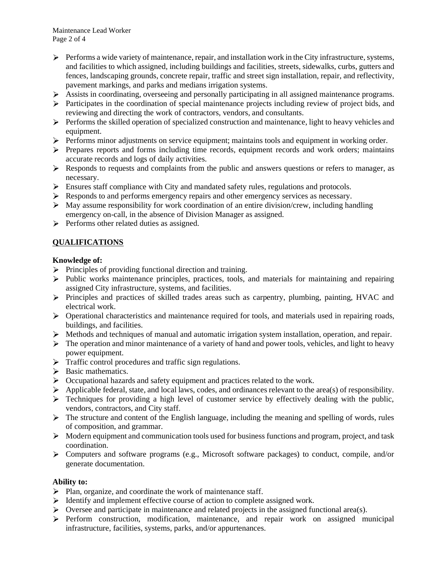Maintenance Lead Worker Page 2 of 4

- $\triangleright$  Performs a wide variety of maintenance, repair, and installation work in the City infrastructure, systems, and facilities to which assigned, including buildings and facilities, streets, sidewalks, curbs, gutters and fences, landscaping grounds, concrete repair, traffic and street sign installation, repair, and reflectivity, pavement markings, and parks and medians irrigation systems.
- $\triangleright$  Assists in coordinating, overseeing and personally participating in all assigned maintenance programs.
- $\triangleright$  Participates in the coordination of special maintenance projects including review of project bids, and reviewing and directing the work of contractors, vendors, and consultants.
- $\triangleright$  Performs the skilled operation of specialized construction and maintenance, light to heavy vehicles and equipment.
- $\triangleright$  Performs minor adjustments on service equipment; maintains tools and equipment in working order.
- $\triangleright$  Prepares reports and forms including time records, equipment records and work orders; maintains accurate records and logs of daily activities.
- $\triangleright$  Responds to requests and complaints from the public and answers questions or refers to manager, as necessary.
- $\triangleright$  Ensures staff compliance with City and mandated safety rules, regulations and protocols.
- $\triangleright$  Responds to and performs emergency repairs and other emergency services as necessary.
- $\triangleright$  May assume responsibility for work coordination of an entire division/crew, including handling emergency on-call, in the absence of Division Manager as assigned.
- $\triangleright$  Performs other related duties as assigned.

## **QUALIFICATIONS**

### **Knowledge of:**

- $\triangleright$  Principles of providing functional direction and training.
- $\triangleright$  Public works maintenance principles, practices, tools, and materials for maintaining and repairing assigned City infrastructure, systems, and facilities.
- Principles and practices of skilled trades areas such as carpentry, plumbing, painting, HVAC and electrical work.
- $\triangleright$  Operational characteristics and maintenance required for tools, and materials used in repairing roads, buildings, and facilities.
- $\triangleright$  Methods and techniques of manual and automatic irrigation system installation, operation, and repair.
- $\triangleright$  The operation and minor maintenance of a variety of hand and power tools, vehicles, and light to heavy power equipment.
- $\triangleright$  Traffic control procedures and traffic sign regulations.
- $\triangleright$  Basic mathematics.
- Occupational hazards and safety equipment and practices related to the work.
- $\triangleright$  Applicable federal, state, and local laws, codes, and ordinances relevant to the area(s) of responsibility.
- $\triangleright$  Techniques for providing a high level of customer service by effectively dealing with the public, vendors, contractors, and City staff.
- $\triangleright$  The structure and content of the English language, including the meaning and spelling of words, rules of composition, and grammar.
- $\triangleright$  Modern equipment and communication tools used for business functions and program, project, and task coordination.
- Computers and software programs (e.g., Microsoft software packages) to conduct, compile, and/or generate documentation.

### **Ability to:**

- $\triangleright$  Plan, organize, and coordinate the work of maintenance staff.
- $\triangleright$  Identify and implement effective course of action to complete assigned work.
- $\triangleright$  Oversee and participate in maintenance and related projects in the assigned functional area(s).
- $\triangleright$  Perform construction, modification, maintenance, and repair work on assigned municipal infrastructure, facilities, systems, parks, and/or appurtenances.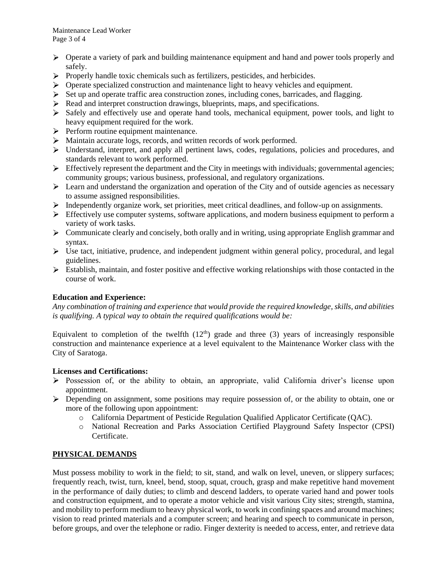Maintenance Lead Worker Page 3 of 4

- $\triangleright$  Operate a variety of park and building maintenance equipment and hand and power tools properly and safely.
- $\triangleright$  Properly handle toxic chemicals such as fertilizers, pesticides, and herbicides.
- $\triangleright$  Operate specialized construction and maintenance light to heavy vehicles and equipment.
- $\triangleright$  Set up and operate traffic area construction zones, including cones, barricades, and flagging.
- Read and interpret construction drawings, blueprints, maps, and specifications.
- Safely and effectively use and operate hand tools, mechanical equipment, power tools, and light to heavy equipment required for the work.
- $\triangleright$  Perform routine equipment maintenance.
- Maintain accurate logs, records, and written records of work performed.
- $\triangleright$  Understand, interpret, and apply all pertinent laws, codes, regulations, policies and procedures, and standards relevant to work performed.
- $\triangleright$  Effectively represent the department and the City in meetings with individuals; governmental agencies; community groups; various business, professional, and regulatory organizations.
- $\triangleright$  Learn and understand the organization and operation of the City and of outside agencies as necessary to assume assigned responsibilities.
- Independently organize work, set priorities, meet critical deadlines, and follow-up on assignments.
- $\triangleright$  Effectively use computer systems, software applications, and modern business equipment to perform a variety of work tasks.
- $\triangleright$  Communicate clearly and concisely, both orally and in writing, using appropriate English grammar and syntax.
- $\triangleright$  Use tact, initiative, prudence, and independent judgment within general policy, procedural, and legal guidelines.
- $\triangleright$  Establish, maintain, and foster positive and effective working relationships with those contacted in the course of work.

### **Education and Experience:**

*Any combination of training and experience that would provide the required knowledge, skills, and abilities is qualifying. A typical way to obtain the required qualifications would be:*

Equivalent to completion of the twelfth  $(12<sup>th</sup>)$  grade and three (3) years of increasingly responsible construction and maintenance experience at a level equivalent to the Maintenance Worker class with the City of Saratoga.

### **Licenses and Certifications:**

- $\triangleright$  Possession of, or the ability to obtain, an appropriate, valid California driver's license upon appointment.
- $\triangleright$  Depending on assignment, some positions may require possession of, or the ability to obtain, one or more of the following upon appointment:
	- o California Department of Pesticide Regulation Qualified Applicator Certificate (QAC).
	- o National Recreation and Parks Association Certified Playground Safety Inspector (CPSI) Certificate.

### **PHYSICAL DEMANDS**

Must possess mobility to work in the field; to sit, stand, and walk on level, uneven, or slippery surfaces; frequently reach, twist, turn, kneel, bend, stoop, squat, crouch, grasp and make repetitive hand movement in the performance of daily duties; to climb and descend ladders, to operate varied hand and power tools and construction equipment, and to operate a motor vehicle and visit various City sites; strength, stamina, and mobility to perform medium to heavy physical work, to work in confining spaces and around machines; vision to read printed materials and a computer screen; and hearing and speech to communicate in person, before groups, and over the telephone or radio. Finger dexterity is needed to access, enter, and retrieve data